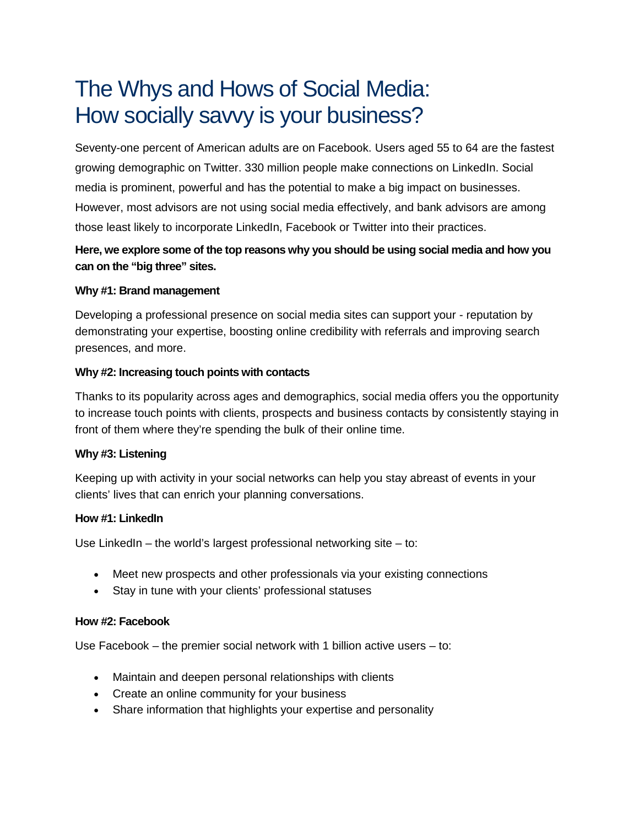# The Whys and Hows of Social Media: How socially savvy is your business?

Seventy-one percent of American adults are on Facebook. Users aged 55 to 64 are the fastest growing demographic on Twitter. 330 million people make connections on LinkedIn. Social media is prominent, powerful and has the potential to make a big impact on businesses. However, most advisors are not using social media effectively, and bank advisors are among those least likely to incorporate LinkedIn, Facebook or Twitter into their practices.

## **Here, we explore some of the top reasons why you should be using social media and how you can on the "big three" sites.**

#### **Why #1: Brand management**

Developing a professional presence on social media sites can support your - reputation by demonstrating your expertise, boosting online credibility with referrals and improving search presences, and more.

#### **Why #2: Increasing touch points with contacts**

Thanks to its popularity across ages and demographics, social media offers you the opportunity to increase touch points with clients, prospects and business contacts by consistently staying in front of them where they're spending the bulk of their online time.

#### **Why #3: Listening**

Keeping up with activity in your social networks can help you stay abreast of events in your clients' lives that can enrich your planning conversations.

#### **How #1: LinkedIn**

Use LinkedIn – the world's largest professional networking site – to:

- Meet new prospects and other professionals via your existing connections
- Stay in tune with your clients' professional statuses

#### **How #2: Facebook**

Use Facebook – the premier social network with 1 billion active users – to:

- Maintain and deepen personal relationships with clients
- Create an online community for your business
- Share information that highlights your expertise and personality